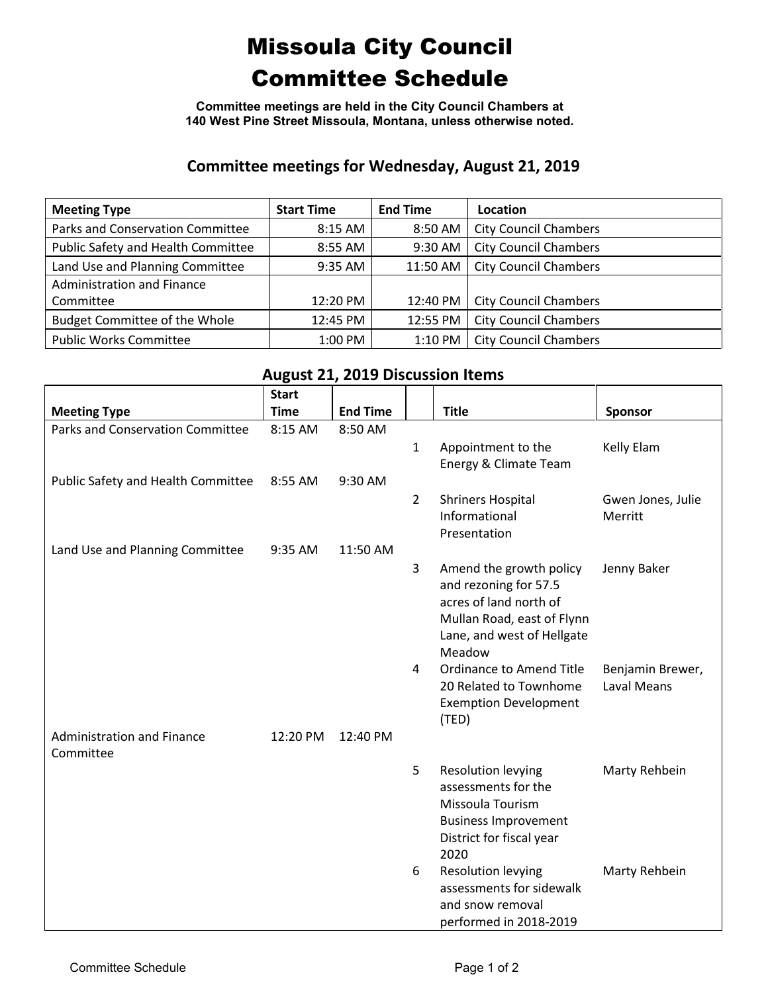## Missoula City Council Committee Schedule

**Committee meetings are held in the City Council Chambers at 140 West Pine Street Missoula, Montana, unless otherwise noted.**

## **Committee meetings for Wednesday, August 21, 2019**

| <b>Meeting Type</b>                  | <b>Start Time</b> | <b>End Time</b> | Location                     |
|--------------------------------------|-------------------|-----------------|------------------------------|
| Parks and Conservation Committee     | 8:15 AM           | 8:50 AM         | <b>City Council Chambers</b> |
| Public Safety and Health Committee   | 8:55 AM           | 9:30 AM         | <b>City Council Chambers</b> |
| Land Use and Planning Committee      | 9:35 AM           | 11:50 AM        | <b>City Council Chambers</b> |
| Administration and Finance           |                   |                 |                              |
| Committee                            | 12:20 PM          | 12:40 PM        | <b>City Council Chambers</b> |
| <b>Budget Committee of the Whole</b> | 12:45 PM          | 12:55 PM        | <b>City Council Chambers</b> |
| <b>Public Works Committee</b>        | 1:00 PM           | 1:10 PM         | <b>City Council Chambers</b> |

## **August 21, 2019 Discussion Items**

| <b>Meeting Type</b>                            | <b>Start</b><br><b>Time</b> | <b>End Time</b> |                | <b>Title</b>                                                                                                                                     | Sponsor                                |
|------------------------------------------------|-----------------------------|-----------------|----------------|--------------------------------------------------------------------------------------------------------------------------------------------------|----------------------------------------|
| Parks and Conservation Committee               | 8:15 AM                     | 8:50 AM         | $\mathbf{1}$   | Appointment to the<br>Energy & Climate Team                                                                                                      | Kelly Elam                             |
| Public Safety and Health Committee             | 8:55 AM                     | 9:30 AM         |                |                                                                                                                                                  |                                        |
|                                                |                             |                 | $\overline{2}$ | <b>Shriners Hospital</b><br>Informational<br>Presentation                                                                                        | Gwen Jones, Julie<br>Merritt           |
| Land Use and Planning Committee                | 9:35 AM                     | 11:50 AM        |                |                                                                                                                                                  |                                        |
|                                                |                             |                 | 3              | Amend the growth policy<br>and rezoning for 57.5<br>acres of land north of<br>Mullan Road, east of Flynn<br>Lane, and west of Hellgate<br>Meadow | Jenny Baker                            |
|                                                |                             |                 | 4              | <b>Ordinance to Amend Title</b><br>20 Related to Townhome<br><b>Exemption Development</b><br>(TED)                                               | Benjamin Brewer,<br><b>Laval Means</b> |
| <b>Administration and Finance</b><br>Committee | 12:20 PM                    | 12:40 PM        |                |                                                                                                                                                  |                                        |
|                                                |                             |                 | 5              | <b>Resolution levying</b><br>assessments for the<br>Missoula Tourism<br><b>Business Improvement</b><br>District for fiscal year<br>2020          | Marty Rehbein                          |
|                                                |                             |                 | 6              | <b>Resolution levying</b><br>assessments for sidewalk<br>and snow removal<br>performed in 2018-2019                                              | Marty Rehbein                          |